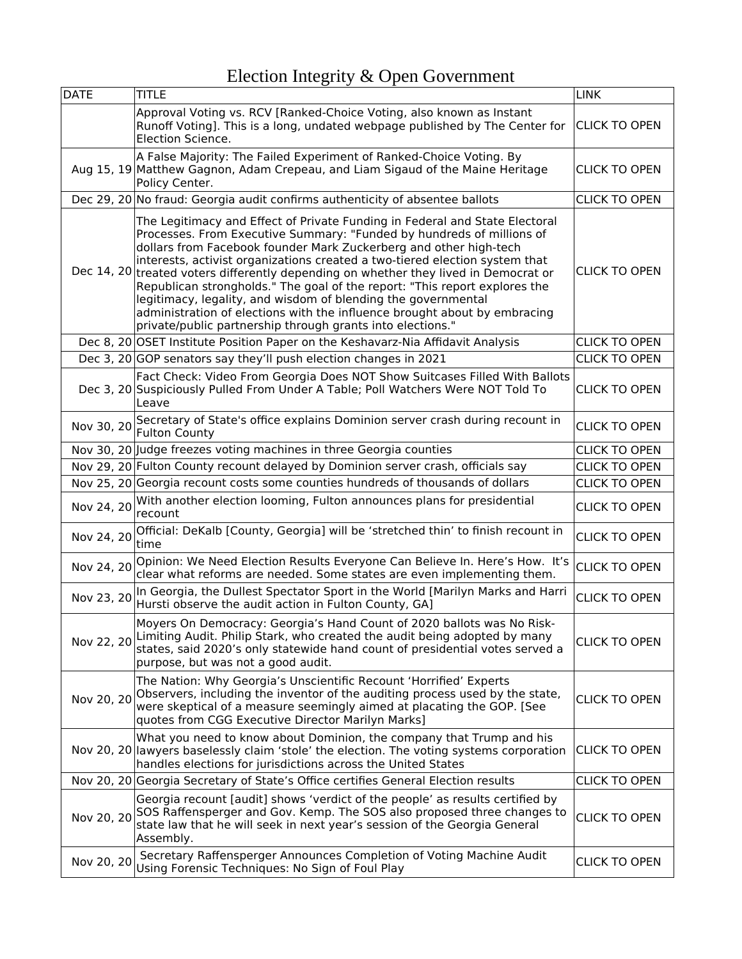| <b>DATE</b> | TITLE                                                                                                                                                                                                                                                                                                                                                                                                                                                                                                                                                                                                                                                                                      | <b>LINK</b>          |
|-------------|--------------------------------------------------------------------------------------------------------------------------------------------------------------------------------------------------------------------------------------------------------------------------------------------------------------------------------------------------------------------------------------------------------------------------------------------------------------------------------------------------------------------------------------------------------------------------------------------------------------------------------------------------------------------------------------------|----------------------|
|             | Approval Voting vs. RCV [Ranked-Choice Voting, also known as Instant<br>Runoff Voting]. This is a long, undated webpage published by The Center for<br>Election Science.                                                                                                                                                                                                                                                                                                                                                                                                                                                                                                                   | <b>CLICK TO OPEN</b> |
|             | A False Majority: The Failed Experiment of Ranked-Choice Voting. By<br>Aug 15, 19 Matthew Gagnon, Adam Crepeau, and Liam Sigaud of the Maine Heritage<br>Policy Center.                                                                                                                                                                                                                                                                                                                                                                                                                                                                                                                    | <b>CLICK TO OPEN</b> |
|             | Dec 29, 20 No fraud: Georgia audit confirms authenticity of absentee ballots                                                                                                                                                                                                                                                                                                                                                                                                                                                                                                                                                                                                               | <b>CLICK TO OPEN</b> |
|             | The Legitimacy and Effect of Private Funding in Federal and State Electoral<br>Processes. From Executive Summary: "Funded by hundreds of millions of<br>dollars from Facebook founder Mark Zuckerberg and other high-tech<br>interests, activist organizations created a two-tiered election system that<br>Dec 14, 20 treated voters differently depending on whether they lived in Democrat or<br>Republican strongholds." The goal of the report: "This report explores the<br>legitimacy, legality, and wisdom of blending the governmental<br>administration of elections with the influence brought about by embracing<br>private/public partnership through grants into elections." | <b>CLICK TO OPEN</b> |
|             | Dec 8, 20 OSET Institute Position Paper on the Keshavarz-Nia Affidavit Analysis                                                                                                                                                                                                                                                                                                                                                                                                                                                                                                                                                                                                            | <b>CLICK TO OPEN</b> |
|             | Dec 3, 20 GOP senators say they'll push election changes in 2021                                                                                                                                                                                                                                                                                                                                                                                                                                                                                                                                                                                                                           | <b>CLICK TO OPEN</b> |
|             | Fact Check: Video From Georgia Does NOT Show Suitcases Filled With Ballots<br>Dec 3, 20 Suspiciously Pulled From Under A Table; Poll Watchers Were NOT Told To<br>Leave                                                                                                                                                                                                                                                                                                                                                                                                                                                                                                                    | <b>CLICK TO OPEN</b> |
| Nov 30, 20  | Secretary of State's office explains Dominion server crash during recount in<br><b>Fulton County</b>                                                                                                                                                                                                                                                                                                                                                                                                                                                                                                                                                                                       | <b>CLICK TO OPEN</b> |
|             | Nov 30, 20 Judge freezes voting machines in three Georgia counties                                                                                                                                                                                                                                                                                                                                                                                                                                                                                                                                                                                                                         | <b>CLICK TO OPEN</b> |
|             | Nov 29, 20 Fulton County recount delayed by Dominion server crash, officials say                                                                                                                                                                                                                                                                                                                                                                                                                                                                                                                                                                                                           | <b>CLICK TO OPEN</b> |
|             | Nov 25, 20 Georgia recount costs some counties hundreds of thousands of dollars                                                                                                                                                                                                                                                                                                                                                                                                                                                                                                                                                                                                            | <b>CLICK TO OPEN</b> |
| Nov 24, 20  | With another election looming, Fulton announces plans for presidential<br>recount                                                                                                                                                                                                                                                                                                                                                                                                                                                                                                                                                                                                          | <b>CLICK TO OPEN</b> |
| Nov 24, 20  | Official: DeKalb [County, Georgia] will be 'stretched thin' to finish recount in<br>time                                                                                                                                                                                                                                                                                                                                                                                                                                                                                                                                                                                                   | <b>CLICK TO OPEN</b> |
| Nov 24, 20  | Opinion: We Need Election Results Everyone Can Believe In. Here's How. It's<br>clear what reforms are needed. Some states are even implementing them.                                                                                                                                                                                                                                                                                                                                                                                                                                                                                                                                      | <b>CLICK TO OPEN</b> |
| Nov 23, 20  | In Georgia, the Dullest Spectator Sport in the World [Marilyn Marks and Harri<br>Hursti observe the audit action in Fulton County, GA]                                                                                                                                                                                                                                                                                                                                                                                                                                                                                                                                                     | <b>CLICK TO OPEN</b> |
|             | Moyers On Democracy: Georgia's Hand Count of 2020 ballots was No Risk-<br>Nov 22, 20 Limiting Audit. Philip Stark, who created the audit being adopted by many<br>states, said 2020's only statewide hand count of presidential votes served a<br>purpose, but was not a good audit.                                                                                                                                                                                                                                                                                                                                                                                                       | <b>CLICK TO OPEN</b> |
| Nov 20, 20  | The Nation: Why Georgia's Unscientific Recount 'Horrified' Experts<br>Observers, including the inventor of the auditing process used by the state,<br>were skeptical of a measure seemingly aimed at placating the GOP. [See<br>quotes from CGG Executive Director Marilyn Marks]                                                                                                                                                                                                                                                                                                                                                                                                          | <b>CLICK TO OPEN</b> |
|             | What you need to know about Dominion, the company that Trump and his<br>Nov 20, 20 lawyers baselessly claim 'stole' the election. The voting systems corporation<br>handles elections for jurisdictions across the United States                                                                                                                                                                                                                                                                                                                                                                                                                                                           | <b>CLICK TO OPEN</b> |
|             | Nov 20, 20 Georgia Secretary of State's Office certifies General Election results                                                                                                                                                                                                                                                                                                                                                                                                                                                                                                                                                                                                          | <b>CLICK TO OPEN</b> |
| Nov 20, 20  | Georgia recount [audit] shows 'verdict of the people' as results certified by<br>SOS Raffensperger and Gov. Kemp. The SOS also proposed three changes to<br>state law that he will seek in next year's session of the Georgia General<br>Assembly.                                                                                                                                                                                                                                                                                                                                                                                                                                         | <b>CLICK TO OPEN</b> |
| Nov 20, 20  | Secretary Raffensperger Announces Completion of Voting Machine Audit<br>Using Forensic Techniques: No Sign of Foul Play                                                                                                                                                                                                                                                                                                                                                                                                                                                                                                                                                                    | <b>CLICK TO OPEN</b> |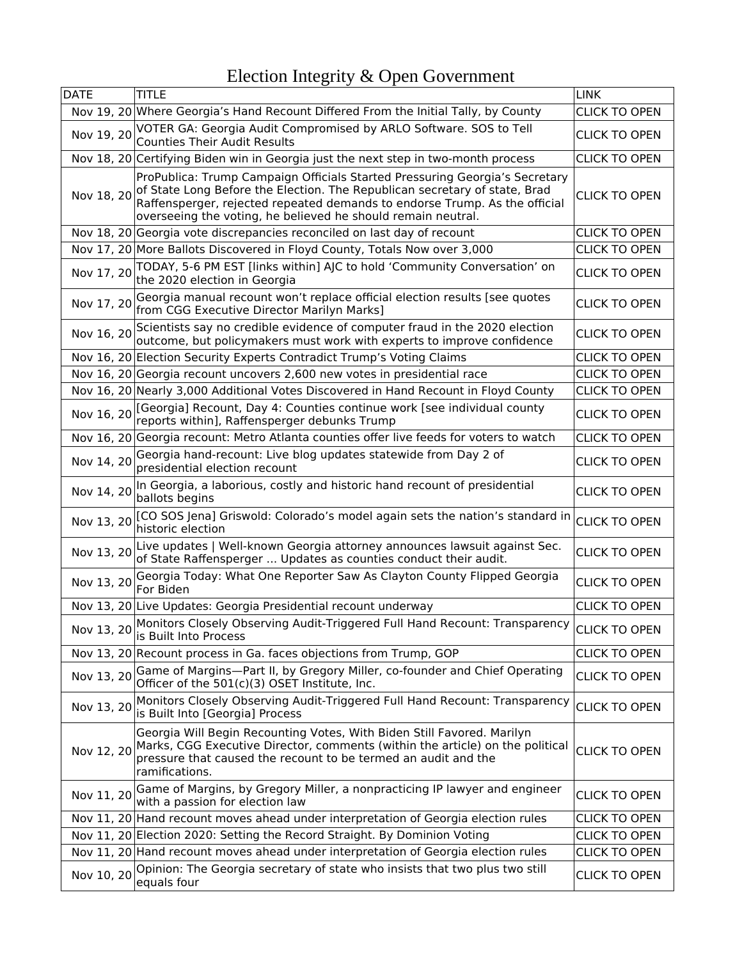| <b>DATE</b> | TITLE                                                                                                                                                                                                                                                                                                   | <b>LINK</b>          |
|-------------|---------------------------------------------------------------------------------------------------------------------------------------------------------------------------------------------------------------------------------------------------------------------------------------------------------|----------------------|
|             | Nov 19, 20 Where Georgia's Hand Recount Differed From the Initial Tally, by County                                                                                                                                                                                                                      | <b>CLICK TO OPEN</b> |
| Nov 19, 20  | VOTER GA: Georgia Audit Compromised by ARLO Software. SOS to Tell<br><b>Counties Their Audit Results</b>                                                                                                                                                                                                | <b>CLICK TO OPEN</b> |
|             | Nov 18, 20 Certifying Biden win in Georgia just the next step in two-month process                                                                                                                                                                                                                      | <b>CLICK TO OPEN</b> |
| Nov 18, 20  | ProPublica: Trump Campaign Officials Started Pressuring Georgia's Secretary<br>of State Long Before the Election. The Republican secretary of state, Brad<br>Raffensperger, rejected repeated demands to endorse Trump. As the official<br>overseeing the voting, he believed he should remain neutral. | <b>CLICK TO OPEN</b> |
|             | Nov 18, 20 Georgia vote discrepancies reconciled on last day of recount                                                                                                                                                                                                                                 | <b>CLICK TO OPEN</b> |
|             | Nov 17, 20 More Ballots Discovered in Floyd County, Totals Now over 3,000                                                                                                                                                                                                                               | <b>CLICK TO OPEN</b> |
| Nov 17, 20  | TODAY, 5-6 PM EST [links within] AJC to hold 'Community Conversation' on<br>the 2020 election in Georgia                                                                                                                                                                                                | <b>CLICK TO OPEN</b> |
| Nov 17, 20  | Georgia manual recount won't replace official election results [see quotes<br>from CGG Executive Director Marilyn Marks]                                                                                                                                                                                | <b>CLICK TO OPEN</b> |
| Nov 16, 20  | Scientists say no credible evidence of computer fraud in the 2020 election<br>outcome, but policymakers must work with experts to improve confidence                                                                                                                                                    | <b>CLICK TO OPEN</b> |
|             | Nov 16, 20 Election Security Experts Contradict Trump's Voting Claims                                                                                                                                                                                                                                   | <b>CLICK TO OPEN</b> |
|             | Nov 16, 20 Georgia recount uncovers 2,600 new votes in presidential race                                                                                                                                                                                                                                | <b>CLICK TO OPEN</b> |
|             | Nov 16, 20 Nearly 3,000 Additional Votes Discovered in Hand Recount in Floyd County                                                                                                                                                                                                                     | <b>CLICK TO OPEN</b> |
|             | Nov 16, 20 [Georgia] Recount, Day 4: Counties continue work [see individual county<br>reports within], Raffensperger debunks Trump                                                                                                                                                                      | <b>CLICK TO OPEN</b> |
|             | Nov 16, 20 Georgia recount: Metro Atlanta counties offer live feeds for voters to watch                                                                                                                                                                                                                 | <b>CLICK TO OPEN</b> |
| Nov 14, 20  | Georgia hand-recount: Live blog updates statewide from Day 2 of<br>presidential election recount                                                                                                                                                                                                        | <b>CLICK TO OPEN</b> |
| Nov 14, 20  | In Georgia, a laborious, costly and historic hand recount of presidential<br>ballots begins                                                                                                                                                                                                             | <b>CLICK TO OPEN</b> |
| Nov 13, 20  | [CO SOS Jena] Griswold: Colorado's model again sets the nation's standard in<br>historic election                                                                                                                                                                                                       | <b>CLICK TO OPEN</b> |
| Nov 13, 20  | Live updates   Well-known Georgia attorney announces lawsuit against Sec.<br>of State Raffensperger  Updates as counties conduct their audit.                                                                                                                                                           | <b>CLICK TO OPEN</b> |
| Nov 13, 20  | Georgia Today: What One Reporter Saw As Clayton County Flipped Georgia<br>For Biden                                                                                                                                                                                                                     | <b>CLICK TO OPEN</b> |
|             | Nov 13, 20 Live Updates: Georgia Presidential recount underway                                                                                                                                                                                                                                          | <b>CLICK TO OPEN</b> |
|             | Nov 13, 20 Monitors Closely Observing Audit-Triggered Full Hand Recount: Transparency $\vert_{\text{CLICK TO OPEN}}$<br>is Built Into Process                                                                                                                                                           |                      |
|             | Nov 13, 20 Recount process in Ga. faces objections from Trump, GOP                                                                                                                                                                                                                                      | <b>CLICK TO OPEN</b> |
| Nov 13, 20  | Game of Margins-Part II, by Gregory Miller, co-founder and Chief Operating<br>Officer of the 501(c)(3) OSET Institute, Inc.                                                                                                                                                                             | <b>CLICK TO OPEN</b> |
| Nov 13, 20  | Monitors Closely Observing Audit-Triggered Full Hand Recount: Transparency<br>is Built Into [Georgia] Process                                                                                                                                                                                           | <b>CLICK TO OPEN</b> |
| Nov 12, 20  | Georgia Will Begin Recounting Votes, With Biden Still Favored. Marilyn<br>Marks, CGG Executive Director, comments (within the article) on the political<br>pressure that caused the recount to be termed an audit and the<br>ramifications.                                                             | <b>CLICK TO OPEN</b> |
| Nov 11, 20  | Game of Margins, by Gregory Miller, a nonpracticing IP lawyer and engineer<br>with a passion for election law                                                                                                                                                                                           | <b>CLICK TO OPEN</b> |
|             | Nov 11, 20 Hand recount moves ahead under interpretation of Georgia election rules                                                                                                                                                                                                                      | <b>CLICK TO OPEN</b> |
|             | Nov 11, 20 Election 2020: Setting the Record Straight. By Dominion Voting                                                                                                                                                                                                                               | <b>CLICK TO OPEN</b> |
|             | Nov 11, 20 Hand recount moves ahead under interpretation of Georgia election rules                                                                                                                                                                                                                      | <b>CLICK TO OPEN</b> |
| Nov 10, 20  | Opinion: The Georgia secretary of state who insists that two plus two still<br>equals four                                                                                                                                                                                                              | <b>CLICK TO OPEN</b> |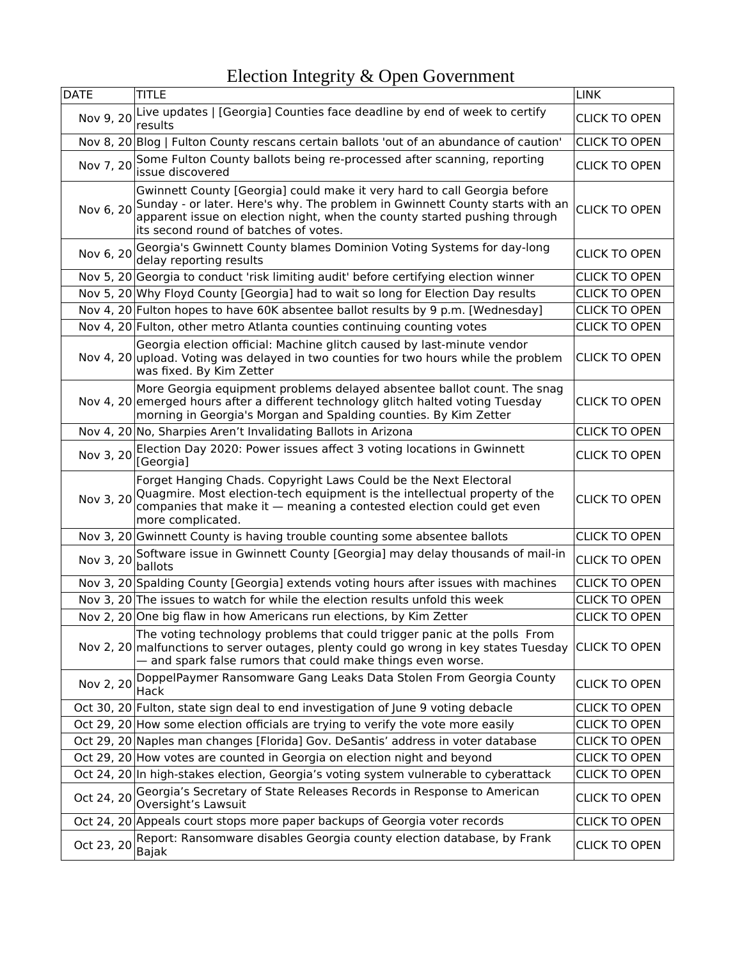| <b>DATE</b> | title                                                                                                                                                                                                                                                                          | <b>LINK</b>          |
|-------------|--------------------------------------------------------------------------------------------------------------------------------------------------------------------------------------------------------------------------------------------------------------------------------|----------------------|
| Nov 9, 20   | Live updates   [Georgia] Counties face deadline by end of week to certify<br>results                                                                                                                                                                                           | <b>CLICK TO OPEN</b> |
|             | Nov 8, 20 Blog   Fulton County rescans certain ballots 'out of an abundance of caution'                                                                                                                                                                                        | <b>CLICK TO OPEN</b> |
| Nov 7, 20   | Some Fulton County ballots being re-processed after scanning, reporting<br>issue discovered                                                                                                                                                                                    | <b>CLICK TO OPEN</b> |
| Nov 6, 20   | Gwinnett County [Georgia] could make it very hard to call Georgia before<br>Sunday - or later. Here's why. The problem in Gwinnett County starts with an<br>apparent issue on election night, when the county started pushing through<br>its second round of batches of votes. | <b>CLICK TO OPEN</b> |
| Nov 6, 20   | Georgia's Gwinnett County blames Dominion Voting Systems for day-long<br>delay reporting results                                                                                                                                                                               | <b>CLICK TO OPEN</b> |
|             | Nov 5, 20 Georgia to conduct 'risk limiting audit' before certifying election winner                                                                                                                                                                                           | <b>CLICK TO OPEN</b> |
|             | Nov 5, 20 Why Floyd County [Georgia] had to wait so long for Election Day results                                                                                                                                                                                              | <b>CLICK TO OPEN</b> |
|             | Nov 4, 20 Fulton hopes to have 60K absentee ballot results by 9 p.m. [Wednesday]                                                                                                                                                                                               | <b>CLICK TO OPEN</b> |
|             | Nov 4, 20 Fulton, other metro Atlanta counties continuing counting votes                                                                                                                                                                                                       | <b>CLICK TO OPEN</b> |
|             | Georgia election official: Machine glitch caused by last-minute vendor<br>Nov 4, 20 upload. Voting was delayed in two counties for two hours while the problem<br>was fixed. By Kim Zetter                                                                                     | <b>CLICK TO OPEN</b> |
|             | More Georgia equipment problems delayed absentee ballot count. The snag<br>Nov 4, 20 emerged hours after a different technology glitch halted voting Tuesday<br>morning in Georgia's Morgan and Spalding counties. By Kim Zetter                                               | <b>CLICK TO OPEN</b> |
|             | Nov 4, 20 No, Sharpies Aren't Invalidating Ballots in Arizona                                                                                                                                                                                                                  | <b>CLICK TO OPEN</b> |
| Nov 3, 20   | Election Day 2020: Power issues affect 3 voting locations in Gwinnett<br>[Georgia]                                                                                                                                                                                             | <b>CLICK TO OPEN</b> |
| Nov 3, 20   | Forget Hanging Chads. Copyright Laws Could be the Next Electoral<br>Quagmire. Most election-tech equipment is the intellectual property of the<br>companies that make it - meaning a contested election could get even<br>more complicated.                                    | <b>CLICK TO OPEN</b> |
|             | Nov 3, 20 Gwinnett County is having trouble counting some absentee ballots                                                                                                                                                                                                     | <b>CLICK TO OPEN</b> |
| Nov 3, 20   | Software issue in Gwinnett County [Georgia] may delay thousands of mail-in<br>ballots                                                                                                                                                                                          | <b>CLICK TO OPEN</b> |
|             | Nov 3, 20 Spalding County [Georgia] extends voting hours after issues with machines                                                                                                                                                                                            | <b>CLICK TO OPEN</b> |
|             | Nov 3, 20 The issues to watch for while the election results unfold this week                                                                                                                                                                                                  | <b>CLICK TO OPEN</b> |
|             | Nov 2, 20 One big flaw in how Americans run elections, by Kim Zetter                                                                                                                                                                                                           | <b>CLICK TO OPEN</b> |
|             | The voting technology problems that could trigger panic at the polls From<br>Nov 2, 20 malfunctions to server outages, plenty could go wrong in key states Tuesday<br>- and spark false rumors that could make things even worse.                                              | <b>CLICK TO OPEN</b> |
|             | Nov 2, 20 DoppelPaymer Ransomware Gang Leaks Data Stolen From Georgia County<br>Hack                                                                                                                                                                                           | <b>CLICK TO OPEN</b> |
|             | Oct 30, 20 Fulton, state sign deal to end investigation of June 9 voting debacle                                                                                                                                                                                               | <b>CLICK TO OPEN</b> |
|             | Oct 29, 20 How some election officials are trying to verify the vote more easily                                                                                                                                                                                               | <b>CLICK TO OPEN</b> |
|             | Oct 29, 20 Naples man changes [Florida] Gov. DeSantis' address in voter database                                                                                                                                                                                               | <b>CLICK TO OPEN</b> |
|             | Oct 29, 20 How votes are counted in Georgia on election night and beyond                                                                                                                                                                                                       | <b>CLICK TO OPEN</b> |
|             | Oct 24, 20 In high-stakes election, Georgia's voting system vulnerable to cyberattack                                                                                                                                                                                          | <b>CLICK TO OPEN</b> |
| Oct 24, 20  | Georgia's Secretary of State Releases Records in Response to American<br>Oversight's Lawsuit                                                                                                                                                                                   | <b>CLICK TO OPEN</b> |
|             | Oct 24, 20 Appeals court stops more paper backups of Georgia voter records                                                                                                                                                                                                     | <b>CLICK TO OPEN</b> |
| Oct 23, 20  | Report: Ransomware disables Georgia county election database, by Frank<br>Bajak                                                                                                                                                                                                | <b>CLICK TO OPEN</b> |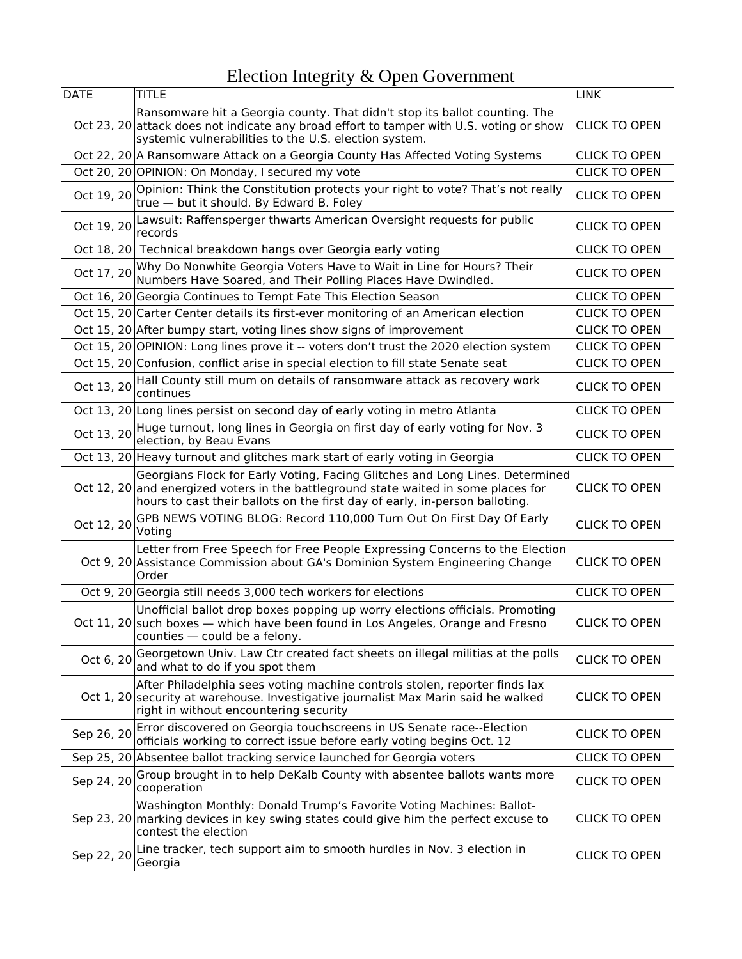| <b>DATE</b> | TITLE                                                                                                                                                                                                                                              | <b>LINK</b>          |
|-------------|----------------------------------------------------------------------------------------------------------------------------------------------------------------------------------------------------------------------------------------------------|----------------------|
|             | Ransomware hit a Georgia county. That didn't stop its ballot counting. The<br>Oct 23, 20 attack does not indicate any broad effort to tamper with U.S. voting or show<br>systemic vulnerabilities to the U.S. election system.                     | <b>CLICK TO OPEN</b> |
|             | Oct 22, 20 A Ransomware Attack on a Georgia County Has Affected Voting Systems                                                                                                                                                                     | <b>CLICK TO OPEN</b> |
|             | Oct 20, 20 OPINION: On Monday, I secured my vote                                                                                                                                                                                                   | <b>CLICK TO OPEN</b> |
| Oct 19, 20  | Opinion: Think the Constitution protects your right to vote? That's not really<br>true - but it should. By Edward B. Foley                                                                                                                         | <b>CLICK TO OPEN</b> |
| Oct 19, 20  | Lawsuit: Raffensperger thwarts American Oversight requests for public<br>records                                                                                                                                                                   | <b>CLICK TO OPEN</b> |
|             | Oct 18, 20 Technical breakdown hangs over Georgia early voting                                                                                                                                                                                     | <b>CLICK TO OPEN</b> |
| Oct 17, 20  | Why Do Nonwhite Georgia Voters Have to Wait in Line for Hours? Their Numbers Have Soared, and Their Polling Places Have Dwindled.                                                                                                                  | <b>CLICK TO OPEN</b> |
|             | Oct 16, 20 Georgia Continues to Tempt Fate This Election Season                                                                                                                                                                                    | <b>CLICK TO OPEN</b> |
|             | Oct 15, 20 Carter Center details its first-ever monitoring of an American election                                                                                                                                                                 | <b>CLICK TO OPEN</b> |
|             | Oct 15, 20 After bumpy start, voting lines show signs of improvement                                                                                                                                                                               | <b>CLICK TO OPEN</b> |
|             | Oct 15, 20 OPINION: Long lines prove it -- voters don't trust the 2020 election system                                                                                                                                                             | <b>CLICK TO OPEN</b> |
|             | Oct 15, 20 Confusion, conflict arise in special election to fill state Senate seat                                                                                                                                                                 | <b>CLICK TO OPEN</b> |
| Oct 13, 20  | Hall County still mum on details of ransomware attack as recovery work<br>continues                                                                                                                                                                | <b>CLICK TO OPEN</b> |
|             | Oct 13, 20 Long lines persist on second day of early voting in metro Atlanta                                                                                                                                                                       | <b>CLICK TO OPEN</b> |
| Oct 13, 20  | Huge turnout, long lines in Georgia on first day of early voting for Nov. 3<br>election, by Beau Evans                                                                                                                                             | <b>CLICK TO OPEN</b> |
|             | Oct 13, 20 Heavy turnout and glitches mark start of early voting in Georgia                                                                                                                                                                        | <b>CLICK TO OPEN</b> |
|             | Georgians Flock for Early Voting, Facing Glitches and Long Lines. Determined<br>Oct 12, 20 and energized voters in the battleground state waited in some places for<br>hours to cast their ballots on the first day of early, in-person balloting. | <b>CLICK TO OPEN</b> |
| Oct 12, 20  | GPB NEWS VOTING BLOG: Record 110,000 Turn Out On First Day Of Early<br>Voting                                                                                                                                                                      | <b>CLICK TO OPEN</b> |
|             | Letter from Free Speech for Free People Expressing Concerns to the Election<br>Oct 9, 20 Assistance Commission about GA's Dominion System Engineering Change<br>Order                                                                              | <b>CLICK TO OPEN</b> |
|             | Oct 9, 20 Georgia still needs 3,000 tech workers for elections                                                                                                                                                                                     | <b>CLICK TO OPEN</b> |
|             | Unofficial ballot drop boxes popping up worry elections officials. Promoting<br>Oct 11, 20 such boxes - which have been found in Los Angeles, Orange and Fresno<br>counties - could be a felony.                                                   | <b>CLICK TO OPEN</b> |
| Oct 6, 20   | Georgetown Univ. Law Ctr created fact sheets on illegal militias at the polls<br>and what to do if you spot them                                                                                                                                   | <b>CLICK TO OPEN</b> |
|             | After Philadelphia sees voting machine controls stolen, reporter finds lax<br>Oct 1, 20 security at warehouse. Investigative journalist Max Marin said he walked<br>right in without encountering security                                         | <b>CLICK TO OPEN</b> |
| Sep 26, 20  | Error discovered on Georgia touchscreens in US Senate race--Election<br>officials working to correct issue before early voting begins Oct. 12                                                                                                      | <b>CLICK TO OPEN</b> |
|             | Sep 25, 20 Absentee ballot tracking service launched for Georgia voters                                                                                                                                                                            | <b>CLICK TO OPEN</b> |
| Sep 24, 20  | Group brought in to help DeKalb County with absentee ballots wants more<br>cooperation                                                                                                                                                             | <b>CLICK TO OPEN</b> |
|             | Washington Monthly: Donald Trump's Favorite Voting Machines: Ballot-<br>Sep 23, 20 marking devices in key swing states could give him the perfect excuse to<br>contest the election                                                                | <b>CLICK TO OPEN</b> |
| Sep 22, 20  | Line tracker, tech support aim to smooth hurdles in Nov. 3 election in<br>Georgia                                                                                                                                                                  | <b>CLICK TO OPEN</b> |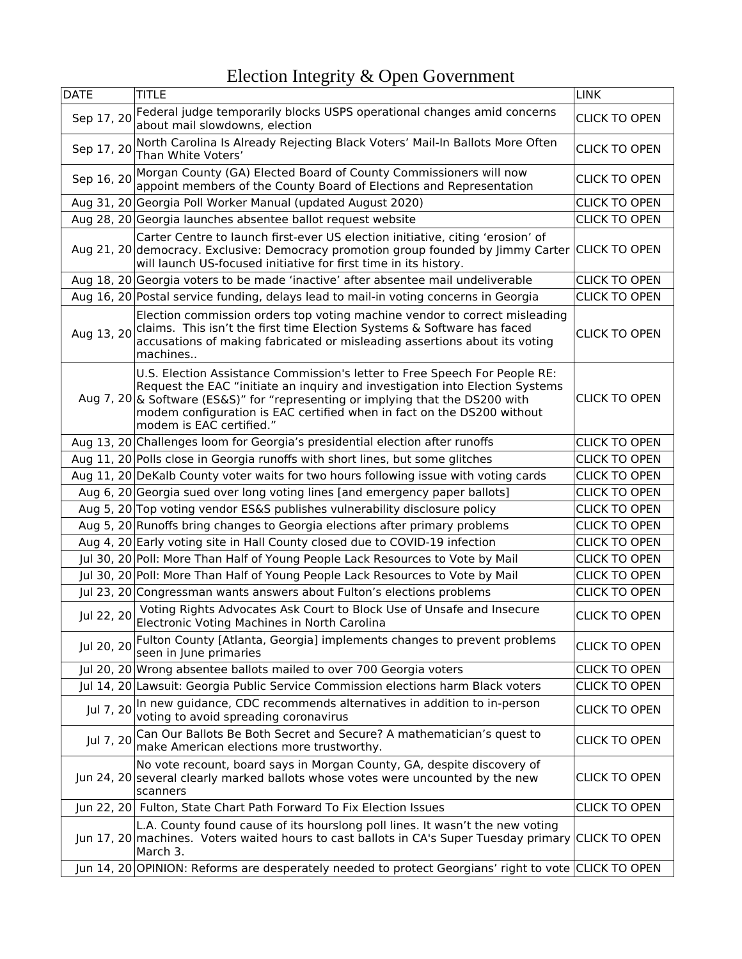| <b>DATE</b> | TITLE                                                                                                                                                                                                                                                                                                                                              | <b>LINK</b>          |
|-------------|----------------------------------------------------------------------------------------------------------------------------------------------------------------------------------------------------------------------------------------------------------------------------------------------------------------------------------------------------|----------------------|
| Sep 17, 20  | Federal judge temporarily blocks USPS operational changes amid concerns<br>about mail slowdowns, election                                                                                                                                                                                                                                          | <b>CLICK TO OPEN</b> |
| Sep 17, 20  | North Carolina Is Already Rejecting Black Voters' Mail-In Ballots More Often<br>Than White Voters'                                                                                                                                                                                                                                                 | <b>CLICK TO OPEN</b> |
| Sep 16, 20  | Morgan County (GA) Elected Board of County Commissioners will now<br>appoint members of the County Board of Elections and Representation                                                                                                                                                                                                           | <b>CLICK TO OPEN</b> |
|             | Aug 31, 20 Georgia Poll Worker Manual (updated August 2020)                                                                                                                                                                                                                                                                                        | <b>CLICK TO OPEN</b> |
|             | Aug 28, 20 Georgia launches absentee ballot request website                                                                                                                                                                                                                                                                                        | <b>CLICK TO OPEN</b> |
|             | Carter Centre to launch first-ever US election initiative, citing 'erosion' of<br>Aug 21, 20 democracy. Exclusive: Democracy promotion group founded by Jimmy Carter<br>will launch US-focused initiative for first time in its history.                                                                                                           | <b>CLICK TO OPEN</b> |
|             | Aug 18, 20 Georgia voters to be made 'inactive' after absentee mail undeliverable                                                                                                                                                                                                                                                                  | <b>CLICK TO OPEN</b> |
|             | Aug 16, 20 Postal service funding, delays lead to mail-in voting concerns in Georgia                                                                                                                                                                                                                                                               | <b>CLICK TO OPEN</b> |
| Aug 13, 20  | Election commission orders top voting machine vendor to correct misleading<br>claims. This isn't the first time Election Systems & Software has faced<br>accusations of making fabricated or misleading assertions about its voting<br>machines                                                                                                    | <b>CLICK TO OPEN</b> |
|             | U.S. Election Assistance Commission's letter to Free Speech For People RE:<br>Request the EAC "initiate an inquiry and investigation into Election Systems<br>Aug 7, 20 & Software (ES&S)" for "representing or implying that the DS200 with<br>modem configuration is EAC certified when in fact on the DS200 without<br>modem is EAC certified." | <b>CLICK TO OPEN</b> |
|             | Aug 13, 20 Challenges loom for Georgia's presidential election after runoffs                                                                                                                                                                                                                                                                       | <b>CLICK TO OPEN</b> |
|             | Aug 11, 20 Polls close in Georgia runoffs with short lines, but some glitches                                                                                                                                                                                                                                                                      | <b>CLICK TO OPEN</b> |
|             | Aug 11, 20 DeKalb County voter waits for two hours following issue with voting cards                                                                                                                                                                                                                                                               | <b>CLICK TO OPEN</b> |
|             | Aug 6, 20 Georgia sued over long voting lines [and emergency paper ballots]                                                                                                                                                                                                                                                                        | <b>CLICK TO OPEN</b> |
|             | Aug 5, 20 Top voting vendor ES&S publishes vulnerability disclosure policy                                                                                                                                                                                                                                                                         | <b>CLICK TO OPEN</b> |
|             | Aug 5, 20 Runoffs bring changes to Georgia elections after primary problems                                                                                                                                                                                                                                                                        | <b>CLICK TO OPEN</b> |
|             | Aug 4, 20 Early voting site in Hall County closed due to COVID-19 infection                                                                                                                                                                                                                                                                        | <b>CLICK TO OPEN</b> |
|             | Jul 30, 20 Poll: More Than Half of Young People Lack Resources to Vote by Mail                                                                                                                                                                                                                                                                     | <b>CLICK TO OPEN</b> |
|             | Jul 30, 20 Poll: More Than Half of Young People Lack Resources to Vote by Mail                                                                                                                                                                                                                                                                     | <b>CLICK TO OPEN</b> |
|             | Jul 23, 20 Congressman wants answers about Fulton's elections problems                                                                                                                                                                                                                                                                             | <b>CLICK TO OPEN</b> |
| Jul 22, 20  | Voting Rights Advocates Ask Court to Block Use of Unsafe and Insecure<br>Electronic Voting Machines in North Carolina                                                                                                                                                                                                                              | <b>CLICK TO OPEN</b> |
| Jul 20, 20  | Fulton County [Atlanta, Georgia] implements changes to prevent problems<br>seen in June primaries                                                                                                                                                                                                                                                  | <b>CLICK TO OPEN</b> |
|             | Jul 20, 20 Wrong absentee ballots mailed to over 700 Georgia voters                                                                                                                                                                                                                                                                                | <b>CLICK TO OPEN</b> |
|             | Jul 14, 20 Lawsuit: Georgia Public Service Commission elections harm Black voters                                                                                                                                                                                                                                                                  | <b>CLICK TO OPEN</b> |
| Jul 7, 20   | In new guidance, CDC recommends alternatives in addition to in-person<br>voting to avoid spreading coronavirus                                                                                                                                                                                                                                     | <b>CLICK TO OPEN</b> |
| Jul 7, 20   | Can Our Ballots Be Both Secret and Secure? A mathematician's quest to<br>make American elections more trustworthy.                                                                                                                                                                                                                                 | <b>CLICK TO OPEN</b> |
|             | No vote recount, board says in Morgan County, GA, despite discovery of<br>Jun 24, 20 several clearly marked ballots whose votes were uncounted by the new<br>scanners                                                                                                                                                                              | <b>CLICK TO OPEN</b> |
|             | Jun 22, 20 Fulton, State Chart Path Forward To Fix Election Issues                                                                                                                                                                                                                                                                                 | <b>CLICK TO OPEN</b> |
|             | L.A. County found cause of its hourslong poll lines. It wasn't the new voting<br>Jun 17, 20 machines. Voters waited hours to cast ballots in CA's Super Tuesday primary CLICK TO OPEN<br>March 3.                                                                                                                                                  |                      |
|             | Jun 14, 20 OPINION: Reforms are desperately needed to protect Georgians' right to vote CLICK TO OPEN                                                                                                                                                                                                                                               |                      |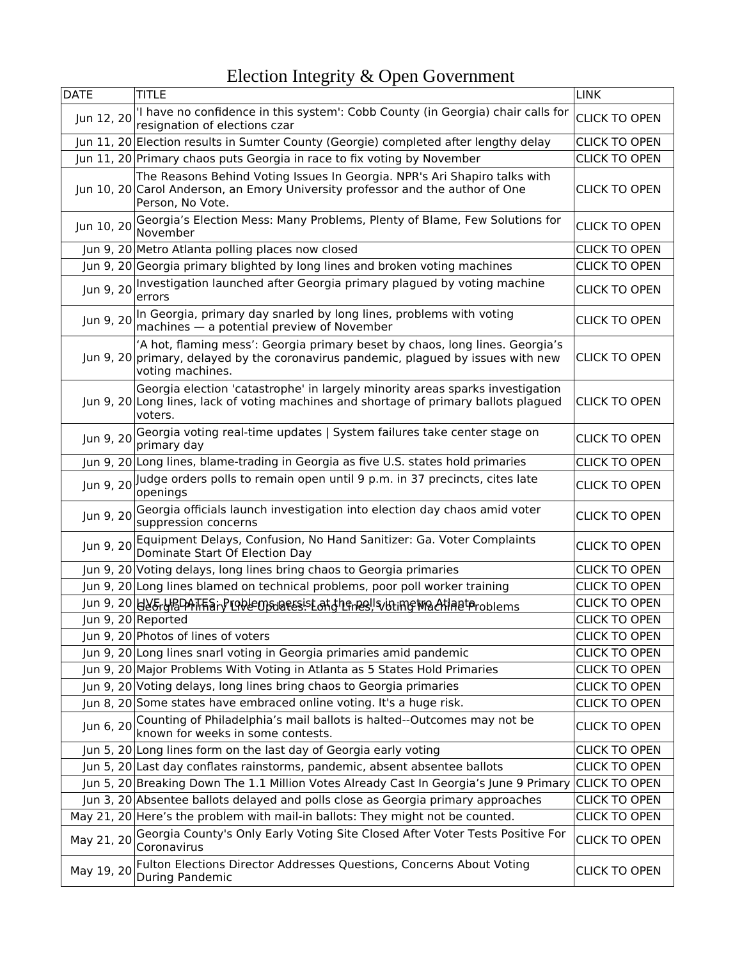| <b>DATE</b> | <b>TITLE</b>                                                                                                                                                                           | <b>LINK</b>          |
|-------------|----------------------------------------------------------------------------------------------------------------------------------------------------------------------------------------|----------------------|
| Jun 12, 20  | 'I have no confidence in this system': Cobb County (in Georgia) chair calls for<br>resignation of elections czar                                                                       | <b>CLICK TO OPEN</b> |
|             | Jun 11, 20 Election results in Sumter County (Georgie) completed after lengthy delay                                                                                                   | <b>CLICK TO OPEN</b> |
|             | Jun 11, 20 Primary chaos puts Georgia in race to fix voting by November                                                                                                                | <b>CLICK TO OPEN</b> |
|             | The Reasons Behind Voting Issues In Georgia. NPR's Ari Shapiro talks with<br>Jun 10, 20 Carol Anderson, an Emory University professor and the author of One<br>Person, No Vote.        | <b>CLICK TO OPEN</b> |
| Jun 10, 20  | Georgia's Election Mess: Many Problems, Plenty of Blame, Few Solutions for<br>November                                                                                                 | <b>CLICK TO OPEN</b> |
|             | Jun 9, 20 Metro Atlanta polling places now closed                                                                                                                                      | <b>CLICK TO OPEN</b> |
|             | Jun 9, 20 Georgia primary blighted by long lines and broken voting machines                                                                                                            | <b>CLICK TO OPEN</b> |
| Jun 9, 20   | Investigation launched after Georgia primary plagued by voting machine<br>errors                                                                                                       | <b>CLICK TO OPEN</b> |
| Jun 9, 20   | In Georgia, primary day snarled by long lines, problems with voting<br>machines - a potential preview of November                                                                      | <b>CLICK TO OPEN</b> |
|             | 'A hot, flaming mess': Georgia primary beset by chaos, long lines. Georgia's<br>Jun 9, 20 primary, delayed by the coronavirus pandemic, plagued by issues with new<br>voting machines. | <b>CLICK TO OPEN</b> |
|             | Georgia election 'catastrophe' in largely minority areas sparks investigation<br>Jun 9, 20 Long lines, lack of voting machines and shortage of primary ballots plagued<br>voters.      | <b>CLICK TO OPEN</b> |
| Jun 9, 20   | Georgia voting real-time updates   System failures take center stage on<br>primary day                                                                                                 | <b>CLICK TO OPEN</b> |
|             | Jun 9, 20 Long lines, blame-trading in Georgia as five U.S. states hold primaries                                                                                                      | <b>CLICK TO OPEN</b> |
| Jun 9, 20   | Judge orders polls to remain open until 9 p.m. in 37 precincts, cites late<br>openings                                                                                                 | <b>CLICK TO OPEN</b> |
| Jun 9, 20   | Georgia officials launch investigation into election day chaos amid voter<br>suppression concerns                                                                                      | <b>CLICK TO OPEN</b> |
| Jun 9, 20   | Equipment Delays, Confusion, No Hand Sanitizer: Ga. Voter Complaints<br>Dominate Start Of Election Day                                                                                 | <b>CLICK TO OPEN</b> |
|             | Jun 9, 20 Voting delays, long lines bring chaos to Georgia primaries                                                                                                                   | <b>CLICK TO OPEN</b> |
|             | Jun 9, 20 Long lines blamed on technical problems, poor poll worker training                                                                                                           | <b>CLICK TO OPEN</b> |
|             | Jun 9, 20 HY&rGBPATFFE&rGReeDSuBEESISE&R&hGrResl!SvBtifRGMBATIABtProblems                                                                                                              | <b>CLICK TO OPEN</b> |
|             | Jun 9, 20 Reported                                                                                                                                                                     | <b>CLICK TO OPEN</b> |
|             | Jun 9, 20 Photos of lines of voters                                                                                                                                                    | <b>CLICK TO OPEN</b> |
|             | Jun 9, 20 Long lines snarl voting in Georgia primaries amid pandemic                                                                                                                   | <b>CLICK TO OPEN</b> |
|             | Jun 9, 20 Major Problems With Voting in Atlanta as 5 States Hold Primaries                                                                                                             | <b>CLICK TO OPEN</b> |
|             | Jun 9, 20 Voting delays, long lines bring chaos to Georgia primaries                                                                                                                   | <b>CLICK TO OPEN</b> |
|             | Jun 8, 20 Some states have embraced online voting. It's a huge risk.                                                                                                                   | <b>CLICK TO OPEN</b> |
| Jun 6, 20   | Counting of Philadelphia's mail ballots is halted--Outcomes may not be known for weeks in some contests.                                                                               | <b>CLICK TO OPEN</b> |
|             | Jun 5, 20 Long lines form on the last day of Georgia early voting                                                                                                                      | <b>CLICK TO OPEN</b> |
|             | Jun 5, 20 Last day conflates rainstorms, pandemic, absent absentee ballots                                                                                                             | <b>CLICK TO OPEN</b> |
|             | Jun 5, 20 Breaking Down The 1.1 Million Votes Already Cast In Georgia's June 9 Primary                                                                                                 | <b>CLICK TO OPEN</b> |
|             | Jun 3, 20 Absentee ballots delayed and polls close as Georgia primary approaches                                                                                                       | <b>CLICK TO OPEN</b> |
|             | May 21, 20 Here's the problem with mail-in ballots: They might not be counted.                                                                                                         | <b>CLICK TO OPEN</b> |
| May 21, 20  | Georgia County's Only Early Voting Site Closed After Voter Tests Positive For<br>Coronavirus                                                                                           | <b>CLICK TO OPEN</b> |
| May 19, 20  | Fulton Elections Director Addresses Questions, Concerns About Voting<br>During Pandemic                                                                                                | <b>CLICK TO OPEN</b> |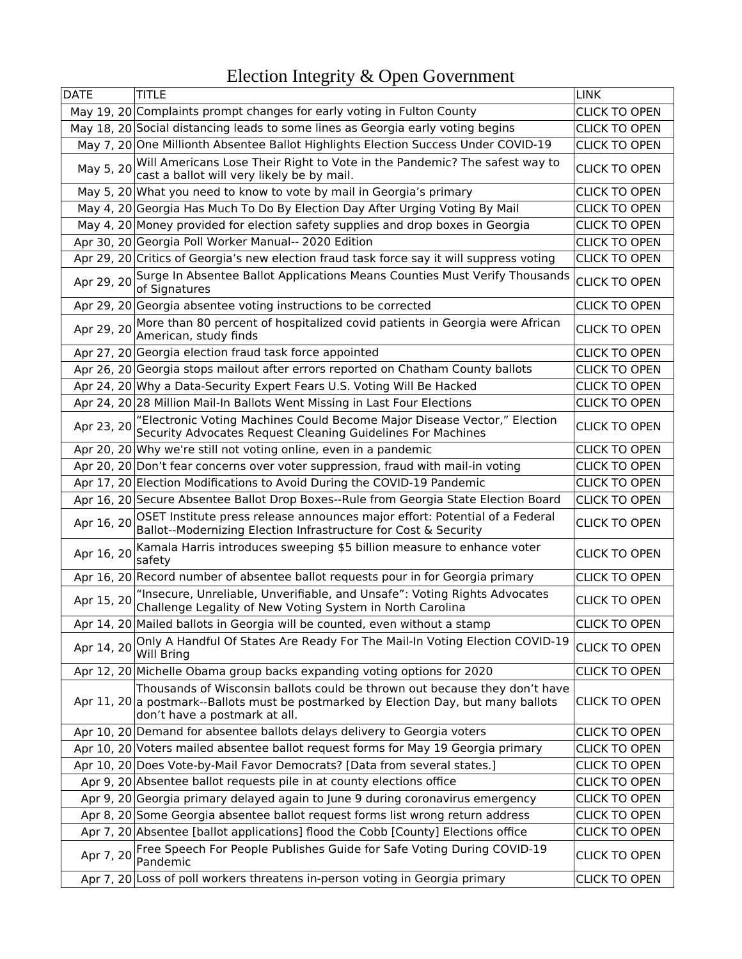| <b>DATE</b> | TITLE                                                                                                                                                                                              | <b>LINK</b>          |
|-------------|----------------------------------------------------------------------------------------------------------------------------------------------------------------------------------------------------|----------------------|
|             | May 19, 20 Complaints prompt changes for early voting in Fulton County                                                                                                                             | <b>CLICK TO OPEN</b> |
|             | May 18, 20 Social distancing leads to some lines as Georgia early voting begins                                                                                                                    | <b>CLICK TO OPEN</b> |
|             | May 7, 20 One Millionth Absentee Ballot Highlights Election Success Under COVID-19                                                                                                                 | <b>CLICK TO OPEN</b> |
| May 5, 20   | Will Americans Lose Their Right to Vote in the Pandemic? The safest way to<br>cast a ballot will very likely be by mail.                                                                           | <b>CLICK TO OPEN</b> |
|             | May 5, 20 What you need to know to vote by mail in Georgia's primary                                                                                                                               | <b>CLICK TO OPEN</b> |
|             | May 4, 20 Georgia Has Much To Do By Election Day After Urging Voting By Mail                                                                                                                       | <b>CLICK TO OPEN</b> |
|             | May 4, 20 Money provided for election safety supplies and drop boxes in Georgia                                                                                                                    | <b>CLICK TO OPEN</b> |
|             | Apr 30, 20 Georgia Poll Worker Manual-- 2020 Edition                                                                                                                                               | <b>CLICK TO OPEN</b> |
|             | Apr 29, 20 Critics of Georgia's new election fraud task force say it will suppress voting                                                                                                          | <b>CLICK TO OPEN</b> |
| Apr 29, 20  | Surge In Absentee Ballot Applications Means Counties Must Verify Thousands<br>of Signatures                                                                                                        | <b>CLICK TO OPEN</b> |
|             | Apr 29, 20 Georgia absentee voting instructions to be corrected                                                                                                                                    | <b>CLICK TO OPEN</b> |
| Apr 29, 20  | More than 80 percent of hospitalized covid patients in Georgia were African<br>American, study finds                                                                                               | <b>CLICK TO OPEN</b> |
|             | Apr 27, 20 Georgia election fraud task force appointed                                                                                                                                             | <b>CLICK TO OPEN</b> |
|             | Apr 26, 20 Georgia stops mailout after errors reported on Chatham County ballots                                                                                                                   | <b>CLICK TO OPEN</b> |
|             | Apr 24, 20 Why a Data-Security Expert Fears U.S. Voting Will Be Hacked                                                                                                                             | <b>CLICK TO OPEN</b> |
|             | Apr 24, 20 28 Million Mail-In Ballots Went Missing in Last Four Elections                                                                                                                          | <b>CLICK TO OPEN</b> |
| Apr 23, 20  | "Electronic Voting Machines Could Become Major Disease Vector," Election<br>Security Advocates Request Cleaning Guidelines For Machines                                                            | <b>CLICK TO OPEN</b> |
|             | Apr 20, 20 Why we're still not voting online, even in a pandemic                                                                                                                                   | <b>CLICK TO OPEN</b> |
|             | Apr 20, 20 Don't fear concerns over voter suppression, fraud with mail-in voting                                                                                                                   | <b>CLICK TO OPEN</b> |
|             | Apr 17, 20 Election Modifications to Avoid During the COVID-19 Pandemic                                                                                                                            | <b>CLICK TO OPEN</b> |
|             | Apr 16, 20 Secure Absentee Ballot Drop Boxes--Rule from Georgia State Election Board                                                                                                               | <b>CLICK TO OPEN</b> |
| Apr 16, 20  | OSET Institute press release announces major effort: Potential of a Federal<br>Ballot--Modernizing Election Infrastructure for Cost & Security                                                     | <b>CLICK TO OPEN</b> |
| Apr 16, 20  | Kamala Harris introduces sweeping \$5 billion measure to enhance voter<br>safety                                                                                                                   | <b>CLICK TO OPEN</b> |
|             | Apr 16, 20 Record number of absentee ballot requests pour in for Georgia primary                                                                                                                   | <b>CLICK TO OPEN</b> |
| Apr 15, 20  | "Insecure, Unreliable, Unverifiable, and Unsafe": Voting Rights Advocates<br>Challenge Legality of New Voting System in North Carolina                                                             | <b>CLICK TO OPEN</b> |
|             | Apr 14, 20 Mailed ballots in Georgia will be counted, even without a stamp                                                                                                                         | <b>CLICK TO OPEN</b> |
| Apr 14, 20  | Only A Handful Of States Are Ready For The Mail-In Voting Election COVID-19<br><b>Will Bring</b>                                                                                                   | <b>CLICK TO OPEN</b> |
|             | Apr 12, 20 Michelle Obama group backs expanding voting options for 2020                                                                                                                            | <b>CLICK TO OPEN</b> |
|             | Thousands of Wisconsin ballots could be thrown out because they don't have<br>Apr 11, 20 a postmark--Ballots must be postmarked by Election Day, but many ballots<br>don't have a postmark at all. | <b>CLICK TO OPEN</b> |
|             | Apr 10, 20 Demand for absentee ballots delays delivery to Georgia voters                                                                                                                           | <b>CLICK TO OPEN</b> |
|             | Apr 10, 20 Voters mailed absentee ballot request forms for May 19 Georgia primary                                                                                                                  | <b>CLICK TO OPEN</b> |
|             | Apr 10, 20 Does Vote-by-Mail Favor Democrats? [Data from several states.]                                                                                                                          | <b>CLICK TO OPEN</b> |
|             | Apr 9, 20 Absentee ballot requests pile in at county elections office                                                                                                                              | <b>CLICK TO OPEN</b> |
|             | Apr 9, 20 Georgia primary delayed again to June 9 during coronavirus emergency                                                                                                                     | <b>CLICK TO OPEN</b> |
|             | Apr 8, 20 Some Georgia absentee ballot request forms list wrong return address                                                                                                                     | <b>CLICK TO OPEN</b> |
|             | Apr 7, 20 Absentee [ballot applications] flood the Cobb [County] Elections office                                                                                                                  | <b>CLICK TO OPEN</b> |
| Apr 7, 20   | Free Speech For People Publishes Guide for Safe Voting During COVID-19<br>Pandemic                                                                                                                 | <b>CLICK TO OPEN</b> |
|             | Apr 7, 20 Loss of poll workers threatens in-person voting in Georgia primary                                                                                                                       | <b>CLICK TO OPEN</b> |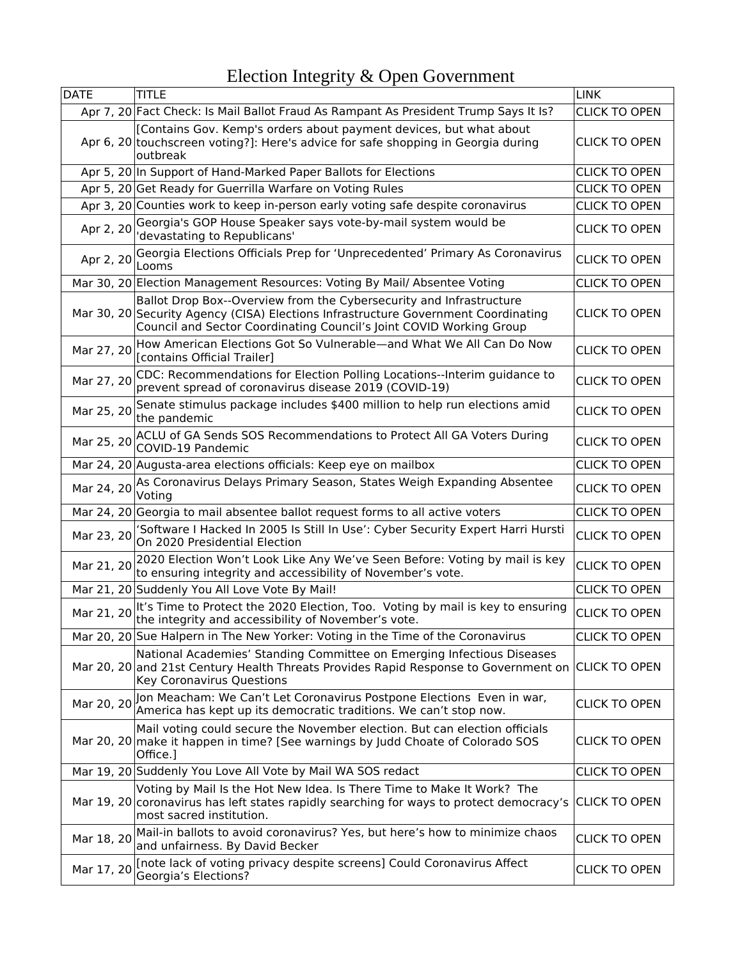| <b>DATE</b> | TITLE                                                                                                                                                                                                                            | <b>LINK</b>          |
|-------------|----------------------------------------------------------------------------------------------------------------------------------------------------------------------------------------------------------------------------------|----------------------|
|             | Apr 7, 20 Fact Check: Is Mail Ballot Fraud As Rampant As President Trump Says It Is?                                                                                                                                             | <b>CLICK TO OPEN</b> |
|             | [Contains Gov. Kemp's orders about payment devices, but what about<br>Apr 6, 20 touchscreen voting?]: Here's advice for safe shopping in Georgia during<br>outbreak                                                              | <b>CLICK TO OPEN</b> |
|             | Apr 5, 20 In Support of Hand-Marked Paper Ballots for Elections                                                                                                                                                                  | <b>CLICK TO OPEN</b> |
|             | Apr 5, 20 Get Ready for Guerrilla Warfare on Voting Rules                                                                                                                                                                        | <b>CLICK TO OPEN</b> |
|             | Apr 3, 20 Counties work to keep in-person early voting safe despite coronavirus                                                                                                                                                  | <b>CLICK TO OPEN</b> |
| Apr 2, 20   | Georgia's GOP House Speaker says vote-by-mail system would be<br>'devastating to Republicans'                                                                                                                                    | <b>CLICK TO OPEN</b> |
| Apr 2, 20   | Georgia Elections Officials Prep for 'Unprecedented' Primary As Coronavirus<br>Looms                                                                                                                                             | <b>CLICK TO OPEN</b> |
|             | Mar 30, 20 Election Management Resources: Voting By Mail/ Absentee Voting                                                                                                                                                        | <b>CLICK TO OPEN</b> |
|             | Ballot Drop Box--Overview from the Cybersecurity and Infrastructure<br>Mar 30, 20 Security Agency (CISA) Elections Infrastructure Government Coordinating<br>Council and Sector Coordinating Council's Joint COVID Working Group | <b>CLICK TO OPEN</b> |
| Mar 27, 20  | How American Elections Got So Vulnerable-and What We All Can Do Now<br>[contains Official Trailer]                                                                                                                               | <b>CLICK TO OPEN</b> |
| Mar 27, 20  | CDC: Recommendations for Election Polling Locations--Interim guidance to<br>prevent spread of coronavirus disease 2019 (COVID-19)                                                                                                | <b>CLICK TO OPEN</b> |
| Mar 25, 20  | Senate stimulus package includes \$400 million to help run elections amid<br>the pandemic                                                                                                                                        | <b>CLICK TO OPEN</b> |
| Mar 25, 20  | ACLU of GA Sends SOS Recommendations to Protect All GA Voters During<br>COVID-19 Pandemic                                                                                                                                        | <b>CLICK TO OPEN</b> |
|             | Mar 24, 20 Augusta-area elections officials: Keep eye on mailbox                                                                                                                                                                 | <b>CLICK TO OPEN</b> |
| Mar 24, 20  | As Coronavirus Delays Primary Season, States Weigh Expanding Absentee<br>Voting                                                                                                                                                  | <b>CLICK TO OPEN</b> |
|             | Mar 24, 20 Georgia to mail absentee ballot request forms to all active voters                                                                                                                                                    | <b>CLICK TO OPEN</b> |
| Mar 23, 20  | 'Software I Hacked In 2005 Is Still In Use': Cyber Security Expert Harri Hursti<br>On 2020 Presidential Election                                                                                                                 | <b>CLICK TO OPEN</b> |
| Mar 21, 20  | 2020 Election Won't Look Like Any We've Seen Before: Voting by mail is key<br>to ensuring integrity and accessibility of November's vote.                                                                                        | <b>CLICK TO OPEN</b> |
|             | Mar 21, 20 Suddenly You All Love Vote By Mail!                                                                                                                                                                                   | <b>CLICK TO OPEN</b> |
| Mar 21, 20  | It's Time to Protect the 2020 Election, Too. Voting by mail is key to ensuring<br>the integrity and accessibility of November's vote.                                                                                            | <b>CLICK TO OPEN</b> |
|             | Mar 20, 20 Sue Halpern in The New Yorker: Voting in the Time of the Coronavirus                                                                                                                                                  | <b>CLICK TO OPEN</b> |
|             | National Academies' Standing Committee on Emerging Infectious Diseases<br>Mar 20, 20 and 21st Century Health Threats Provides Rapid Response to Government on<br>Key Coronavirus Questions                                       | <b>CLICK TO OPEN</b> |
| Mar 20, 20  | Jon Meacham: We Can't Let Coronavirus Postpone Elections Even in war,<br>America has kept up its democratic traditions. We can't stop now.                                                                                       | <b>CLICK TO OPEN</b> |
|             | Mail voting could secure the November election. But can election officials<br>Mar 20, 20 make it happen in time? [See warnings by Judd Choate of Colorado SOS<br>Office.]                                                        | <b>CLICK TO OPEN</b> |
|             | Mar 19, 20 Suddenly You Love All Vote by Mail WA SOS redact                                                                                                                                                                      | <b>CLICK TO OPEN</b> |
|             | Voting by Mail Is the Hot New Idea. Is There Time to Make It Work? The<br>Mar 19, 20 coronavirus has left states rapidly searching for ways to protect democracy's<br>most sacred institution.                                   | <b>CLICK TO OPEN</b> |
| Mar 18, 20  | Mail-in ballots to avoid coronavirus? Yes, but here's how to minimize chaos<br>and unfairness. By David Becker                                                                                                                   | <b>CLICK TO OPEN</b> |
| Mar 17, 20  | [note lack of voting privacy despite screens] Could Coronavirus Affect<br>Georgia's Elections?                                                                                                                                   | <b>CLICK TO OPEN</b> |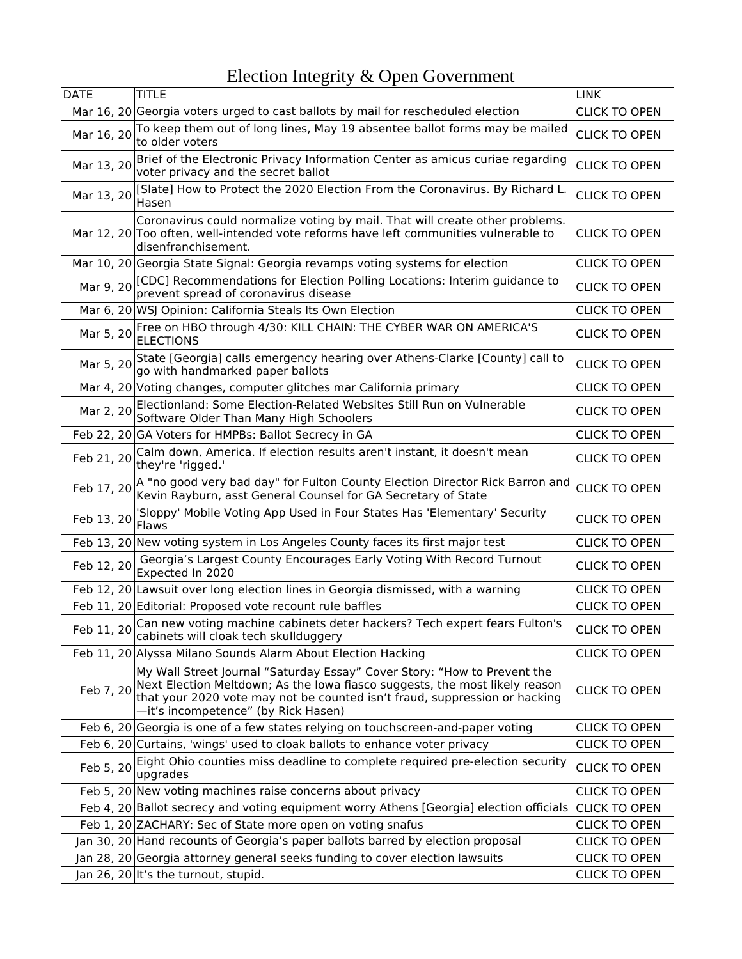| <b>DATE</b> | <b>TITLE</b>                                                                                                                                                                                                                                                                 | <b>LINK</b>          |
|-------------|------------------------------------------------------------------------------------------------------------------------------------------------------------------------------------------------------------------------------------------------------------------------------|----------------------|
|             | Mar 16, 20 Georgia voters urged to cast ballots by mail for rescheduled election                                                                                                                                                                                             | <b>CLICK TO OPEN</b> |
| Mar 16, 20  | To keep them out of long lines, May 19 absentee ballot forms may be mailed<br>to older voters                                                                                                                                                                                | <b>CLICK TO OPEN</b> |
| Mar 13, 20  | Brief of the Electronic Privacy Information Center as amicus curiae regarding<br>voter privacy and the secret ballot                                                                                                                                                         | <b>CLICK TO OPEN</b> |
| Mar 13, 20  | [Slate] How to Protect the 2020 Election From the Coronavirus. By Richard L.<br>Hasen                                                                                                                                                                                        | <b>CLICK TO OPEN</b> |
|             | Coronavirus could normalize voting by mail. That will create other problems.<br>Mar 12, 20 Too often, well-intended vote reforms have left communities vulnerable to<br>disenfranchisement.                                                                                  | <b>CLICK TO OPEN</b> |
|             | Mar 10, 20 Georgia State Signal: Georgia revamps voting systems for election                                                                                                                                                                                                 | <b>CLICK TO OPEN</b> |
|             | Mar 9, 20 CDC] Recommendations for Election Polling Locations: Interim guidance to<br>prevent spread of coronavirus disease                                                                                                                                                  | <b>CLICK TO OPEN</b> |
|             | Mar 6, 20 WSJ Opinion: California Steals Its Own Election                                                                                                                                                                                                                    | <b>CLICK TO OPEN</b> |
| Mar 5, 20   | Free on HBO through 4/30: KILL CHAIN: THE CYBER WAR ON AMERICA'S<br><b>ELECTIONS</b>                                                                                                                                                                                         | <b>CLICK TO OPEN</b> |
| Mar 5, 20   | State [Georgia] calls emergency hearing over Athens-Clarke [County] call to<br>go with handmarked paper ballots                                                                                                                                                              | <b>CLICK TO OPEN</b> |
|             | Mar 4, 20 Voting changes, computer glitches mar California primary                                                                                                                                                                                                           | <b>CLICK TO OPEN</b> |
| Mar 2, 20   | Electionland: Some Election-Related Websites Still Run on Vulnerable<br>Software Older Than Many High Schoolers                                                                                                                                                              | <b>CLICK TO OPEN</b> |
|             | Feb 22, 20 GA Voters for HMPBs: Ballot Secrecy in GA                                                                                                                                                                                                                         | <b>CLICK TO OPEN</b> |
| Feb 21, 20  | Calm down, America. If election results aren't instant, it doesn't mean<br>they're 'rigged.'                                                                                                                                                                                 | <b>CLICK TO OPEN</b> |
| Feb 17, 20  | A "no good very bad day" for Fulton County Election Director Rick Barron and<br>Kevin Rayburn, asst General Counsel for GA Secretary of State                                                                                                                                | <b>CLICK TO OPEN</b> |
| Feb 13, 20  | 'Sloppy' Mobile Voting App Used in Four States Has 'Elementary' Security<br>Flaws                                                                                                                                                                                            | <b>CLICK TO OPEN</b> |
|             | Feb 13, 20 New voting system in Los Angeles County faces its first major test                                                                                                                                                                                                | <b>CLICK TO OPEN</b> |
| Feb 12, 20  | Georgia's Largest County Encourages Early Voting With Record Turnout<br>Expected In 2020                                                                                                                                                                                     | <b>CLICK TO OPEN</b> |
|             | Feb 12, 20 Lawsuit over long election lines in Georgia dismissed, with a warning                                                                                                                                                                                             | <b>CLICK TO OPEN</b> |
|             | Feb 11, 20 Editorial: Proposed vote recount rule baffles                                                                                                                                                                                                                     | <b>CLICK TO OPEN</b> |
|             | Feb 11, 20 Can new voting machine cabinets deter hackers? Tech expert fears Fulton's<br>cabinets will cloak tech skullduggery                                                                                                                                                | <b>CLICK TO OPEN</b> |
|             | Feb 11, 20 Alyssa Milano Sounds Alarm About Election Hacking                                                                                                                                                                                                                 | <b>CLICK TO OPEN</b> |
| Feb 7, 20   | My Wall Street Journal "Saturday Essay" Cover Story: "How to Prevent the<br>Next Election Meltdown; As the lowa fiasco suggests, the most likely reason<br>that your 2020 vote may not be counted isn't fraud, suppression or hacking<br>-it's incompetence" (by Rick Hasen) | <b>CLICK TO OPEN</b> |
|             | Feb 6, 20 Georgia is one of a few states relying on touchscreen-and-paper voting                                                                                                                                                                                             | <b>CLICK TO OPEN</b> |
|             | Feb 6, 20 Curtains, 'wings' used to cloak ballots to enhance voter privacy                                                                                                                                                                                                   | <b>CLICK TO OPEN</b> |
| Feb 5, 20   | Eight Ohio counties miss deadline to complete required pre-election security<br>upgrades                                                                                                                                                                                     | <b>CLICK TO OPEN</b> |
|             | Feb 5, 20 New voting machines raise concerns about privacy                                                                                                                                                                                                                   | <b>CLICK TO OPEN</b> |
|             | Feb 4, 20 Ballot secrecy and voting equipment worry Athens [Georgia] election officials                                                                                                                                                                                      | <b>CLICK TO OPEN</b> |
|             | Feb 1, 20 ZACHARY: Sec of State more open on voting snafus                                                                                                                                                                                                                   | <b>CLICK TO OPEN</b> |
|             | Jan 30, 20 Hand recounts of Georgia's paper ballots barred by election proposal                                                                                                                                                                                              | <b>CLICK TO OPEN</b> |
|             | Jan 28, 20 Georgia attorney general seeks funding to cover election lawsuits                                                                                                                                                                                                 | <b>CLICK TO OPEN</b> |
|             | Jan 26, 20 It's the turnout, stupid.                                                                                                                                                                                                                                         | <b>CLICK TO OPEN</b> |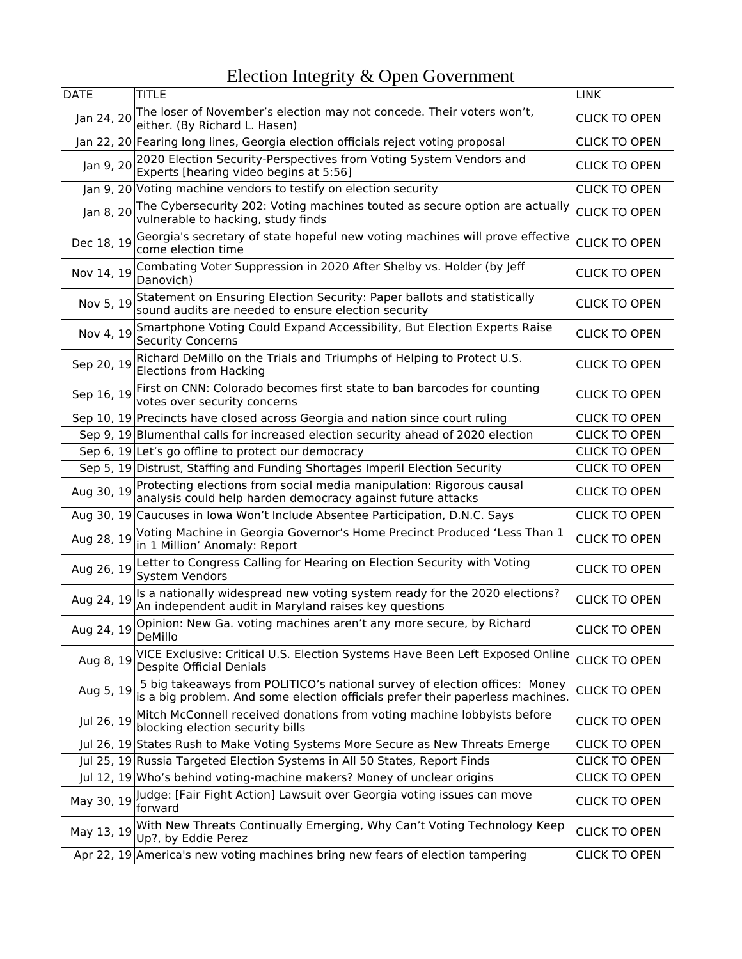| <b>DATE</b> | TITLE                                                                                                                                                        | <b>LINK</b>          |
|-------------|--------------------------------------------------------------------------------------------------------------------------------------------------------------|----------------------|
| Jan 24, 20  | The loser of November's election may not concede. Their voters won't,<br>either. (By Richard L. Hasen)                                                       | <b>CLICK TO OPEN</b> |
|             | Jan 22, 20 Fearing long lines, Georgia election officials reject voting proposal                                                                             | <b>CLICK TO OPEN</b> |
| Jan 9, 20   | 2020 Election Security-Perspectives from Voting System Vendors and<br>Experts [hearing video begins at 5:56]                                                 | <b>CLICK TO OPEN</b> |
|             | Jan 9, 20 Voting machine vendors to testify on election security                                                                                             | <b>CLICK TO OPEN</b> |
| Jan 8, 20   | The Cybersecurity 202: Voting machines touted as secure option are actually<br>vulnerable to hacking, study finds                                            | <b>CLICK TO OPEN</b> |
| Dec 18, 19  | Georgia's secretary of state hopeful new voting machines will prove effective<br>come election time                                                          | <b>CLICK TO OPEN</b> |
| Nov 14, 19  | Combating Voter Suppression in 2020 After Shelby vs. Holder (by Jeff<br>Danovich)                                                                            | <b>CLICK TO OPEN</b> |
| Nov 5, 19   | Statement on Ensuring Election Security: Paper ballots and statistically<br>sound audits are needed to ensure election security                              | <b>CLICK TO OPEN</b> |
| Nov 4, 19   | Smartphone Voting Could Expand Accessibility, But Election Experts Raise<br><b>Security Concerns</b>                                                         | <b>CLICK TO OPEN</b> |
| Sep 20, 19  | Richard DeMillo on the Trials and Triumphs of Helping to Protect U.S.<br><b>Elections from Hacking</b>                                                       | <b>CLICK TO OPEN</b> |
| Sep 16, 19  | First on CNN: Colorado becomes first state to ban barcodes for counting<br>votes over security concerns                                                      | <b>CLICK TO OPEN</b> |
|             | Sep 10, 19 Precincts have closed across Georgia and nation since court ruling                                                                                | <b>CLICK TO OPEN</b> |
|             | Sep 9, 19 Blumenthal calls for increased election security ahead of 2020 election                                                                            | <b>CLICK TO OPEN</b> |
|             | Sep 6, 19 Let's go offline to protect our democracy                                                                                                          | <b>CLICK TO OPEN</b> |
|             | Sep 5, 19 Distrust, Staffing and Funding Shortages Imperil Election Security                                                                                 | <b>CLICK TO OPEN</b> |
| Aug 30, 19  | Protecting elections from social media manipulation: Rigorous causal<br>analysis could help harden democracy against future attacks                          | <b>CLICK TO OPEN</b> |
|             | Aug 30, 19 Caucuses in Iowa Won't Include Absentee Participation, D.N.C. Says                                                                                | <b>CLICK TO OPEN</b> |
| Aug 28, 19  | Voting Machine in Georgia Governor's Home Precinct Produced 'Less Than 1<br>in 1 Million' Anomaly: Report                                                    | <b>CLICK TO OPEN</b> |
| Aug 26, 19  | Letter to Congress Calling for Hearing on Election Security with Voting<br>System Vendors                                                                    | <b>CLICK TO OPEN</b> |
| Aug 24, 19  | Is a nationally widespread new voting system ready for the 2020 elections?<br>An independent audit in Maryland raises key questions                          | <b>CLICK TO OPEN</b> |
| Aug 24, 19  | Opinion: New Ga. voting machines aren't any more secure, by Richard<br>DeMillo                                                                               | <b>CLICK TO OPEN</b> |
| Aug 8, 19   | VICE Exclusive: Critical U.S. Election Systems Have Been Left Exposed Online<br><b>Despite Official Denials</b>                                              | <b>CLICK TO OPEN</b> |
| Aug 5, 19   | 5 big takeaways from POLITICO's national survey of election offices: Money<br>is a big problem. And some election officials prefer their paperless machines. | <b>CLICK TO OPEN</b> |
| Jul 26, 19  | Mitch McConnell received donations from voting machine lobbyists before<br>blocking election security bills                                                  | <b>CLICK TO OPEN</b> |
|             | Jul 26, 19 States Rush to Make Voting Systems More Secure as New Threats Emerge                                                                              | <b>CLICK TO OPEN</b> |
|             | Jul 25, 19 Russia Targeted Election Systems in All 50 States, Report Finds                                                                                   | <b>CLICK TO OPEN</b> |
|             | Jul 12, 19 Who's behind voting-machine makers? Money of unclear origins                                                                                      | <b>CLICK TO OPEN</b> |
| May 30, 19  | Judge: [Fair Fight Action] Lawsuit over Georgia voting issues can move<br>forward                                                                            | <b>CLICK TO OPEN</b> |
| May 13, 19  | With New Threats Continually Emerging, Why Can't Voting Technology Keep<br>Up?, by Eddie Perez                                                               | <b>CLICK TO OPEN</b> |
|             | Apr 22, 19 America's new voting machines bring new fears of election tampering                                                                               | <b>CLICK TO OPEN</b> |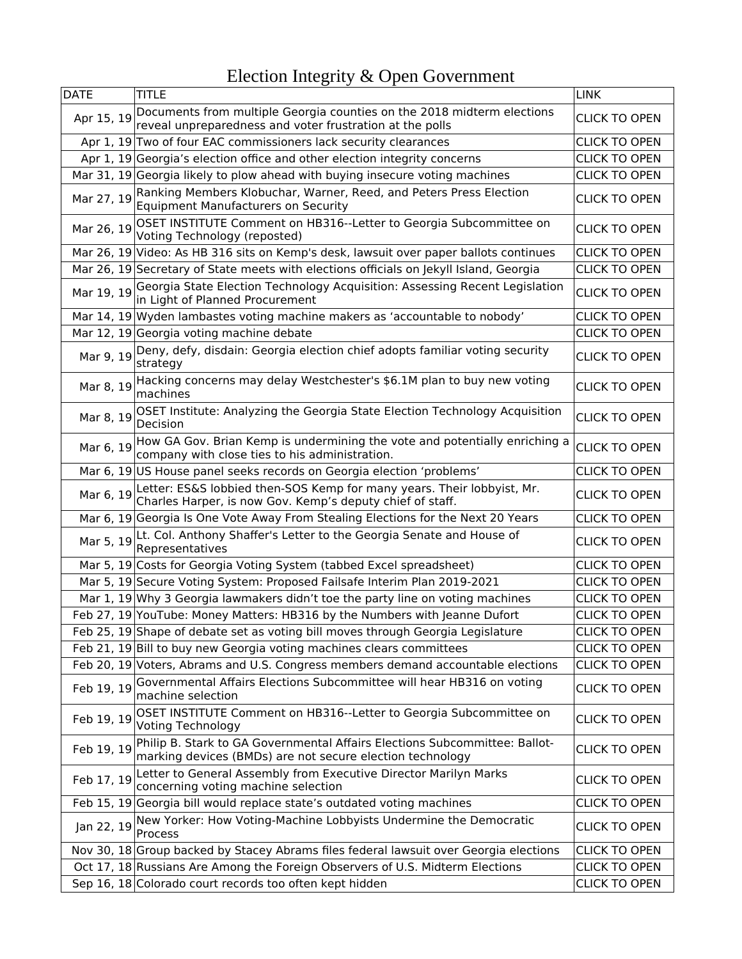| <b>DATE</b> | TITLE                                                                                                                                   | <b>LINK</b>          |
|-------------|-----------------------------------------------------------------------------------------------------------------------------------------|----------------------|
| Apr 15, 19  | Documents from multiple Georgia counties on the 2018 midterm elections<br>reveal unpreparedness and voter frustration at the polls      | <b>CLICK TO OPEN</b> |
|             | Apr 1, 19 Two of four EAC commissioners lack security clearances                                                                        | <b>CLICK TO OPEN</b> |
|             | Apr 1, 19 Georgia's election office and other election integrity concerns                                                               | <b>CLICK TO OPEN</b> |
|             | Mar 31, 19 Georgia likely to plow ahead with buying insecure voting machines                                                            | <b>CLICK TO OPEN</b> |
| Mar 27, 19  | Ranking Members Klobuchar, Warner, Reed, and Peters Press Election<br><b>Equipment Manufacturers on Security</b>                        | <b>CLICK TO OPEN</b> |
| Mar 26, 19  | OSET INSTITUTE Comment on HB316--Letter to Georgia Subcommittee on<br>Voting Technology (reposted)                                      | <b>CLICK TO OPEN</b> |
|             | Mar 26, 19 Video: As HB 316 sits on Kemp's desk, lawsuit over paper ballots continues                                                   | <b>CLICK TO OPEN</b> |
|             | Mar 26, 19 Secretary of State meets with elections officials on Jekyll Island, Georgia                                                  | <b>CLICK TO OPEN</b> |
| Mar 19, 19  | Georgia State Election Technology Acquisition: Assessing Recent Legislation<br>in Light of Planned Procurement                          | <b>CLICK TO OPEN</b> |
|             | Mar 14, 19 Wyden lambastes voting machine makers as 'accountable to nobody'                                                             | <b>CLICK TO OPEN</b> |
|             | Mar 12, 19 Georgia voting machine debate                                                                                                | <b>CLICK TO OPEN</b> |
|             | Mar 9, 19 Deny, defy, disdain: Georgia election chief adopts familiar voting security<br>strategy                                       | <b>CLICK TO OPEN</b> |
| Mar 8, 19   | Hacking concerns may delay Westchester's \$6.1M plan to buy new voting<br>machines                                                      | <b>CLICK TO OPEN</b> |
| Mar 8, 19   | OSET Institute: Analyzing the Georgia State Election Technology Acquisition<br>Decision                                                 | <b>CLICK TO OPEN</b> |
| Mar 6, 19   | How GA Gov. Brian Kemp is undermining the vote and potentially enriching a<br>company with close ties to his administration.            | <b>CLICK TO OPEN</b> |
|             | Mar 6, 19 US House panel seeks records on Georgia election 'problems'                                                                   | <b>CLICK TO OPEN</b> |
| Mar 6, 19   | Letter: ES&S lobbied then-SOS Kemp for many years. Their lobbyist, Mr.<br>Charles Harper, is now Gov. Kemp's deputy chief of staff.     | <b>CLICK TO OPEN</b> |
|             | Mar 6, 19 Georgia Is One Vote Away From Stealing Elections for the Next 20 Years                                                        | <b>CLICK TO OPEN</b> |
| Mar 5, 19   | Lt. Col. Anthony Shaffer's Letter to the Georgia Senate and House of<br>Representatives                                                 | <b>CLICK TO OPEN</b> |
|             | Mar 5, 19 Costs for Georgia Voting System (tabbed Excel spreadsheet)                                                                    | <b>CLICK TO OPEN</b> |
|             | Mar 5, 19 Secure Voting System: Proposed Failsafe Interim Plan 2019-2021                                                                | <b>CLICK TO OPEN</b> |
|             | Mar 1, 19 Why 3 Georgia lawmakers didn't toe the party line on voting machines                                                          | <b>CLICK TO OPEN</b> |
|             | Feb 27, 19 YouTube: Money Matters: HB316 by the Numbers with Jeanne Dufort                                                              | <b>CLICK TO OPEN</b> |
|             | Feb 25, 19 Shape of debate set as voting bill moves through Georgia Legislature                                                         | <b>CLICK TO OPEN</b> |
|             | Feb 21, 19 Bill to buy new Georgia voting machines clears committees                                                                    | <b>CLICK TO OPEN</b> |
|             | Feb 20, 19 Voters, Abrams and U.S. Congress members demand accountable elections                                                        | <b>CLICK TO OPEN</b> |
| Feb 19, 19  | Governmental Affairs Elections Subcommittee will hear HB316 on voting<br>machine selection                                              | <b>CLICK TO OPEN</b> |
| Feb 19, 19  | OSET INSTITUTE Comment on HB316--Letter to Georgia Subcommittee on<br><b>Voting Technology</b>                                          | <b>CLICK TO OPEN</b> |
| Feb 19, 19  | Philip B. Stark to GA Governmental Affairs Elections Subcommittee: Ballot-<br>marking devices (BMDs) are not secure election technology | <b>CLICK TO OPEN</b> |
| Feb 17, 19  | Letter to General Assembly from Executive Director Marilyn Marks<br>concerning voting machine selection                                 | <b>CLICK TO OPEN</b> |
|             | Feb 15, 19 Georgia bill would replace state's outdated voting machines                                                                  | <b>CLICK TO OPEN</b> |
| Jan 22, 19  | New Yorker: How Voting-Machine Lobbyists Undermine the Democratic<br>Process                                                            | <b>CLICK TO OPEN</b> |
|             | Nov 30, 18 Group backed by Stacey Abrams files federal lawsuit over Georgia elections                                                   | <b>CLICK TO OPEN</b> |
|             | Oct 17, 18 Russians Are Among the Foreign Observers of U.S. Midterm Elections                                                           | <b>CLICK TO OPEN</b> |
|             | Sep 16, 18 Colorado court records too often kept hidden                                                                                 | <b>CLICK TO OPEN</b> |